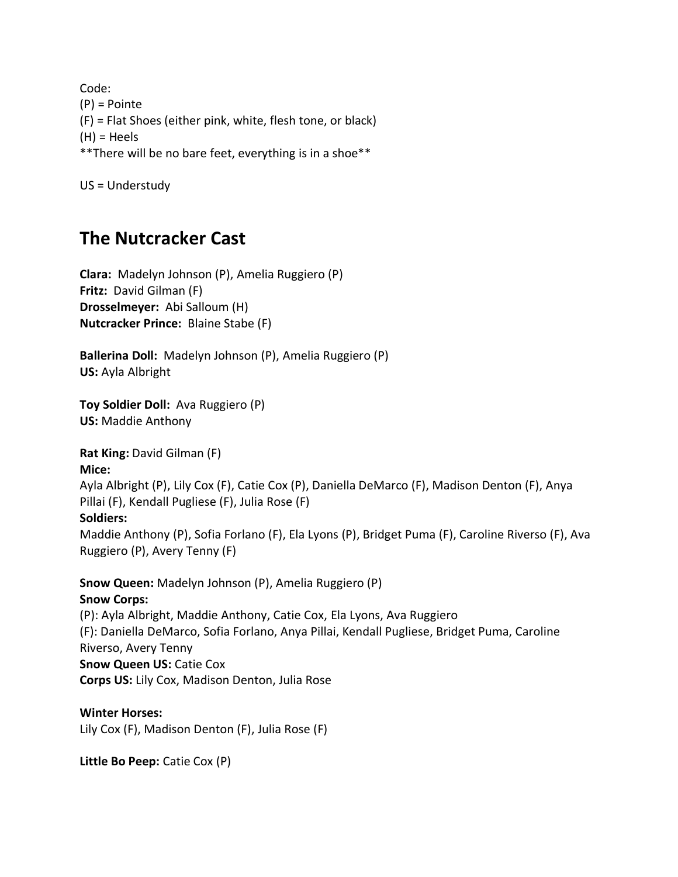Code: (P) = Pointe (F) = Flat Shoes (either pink, white, flesh tone, or black) (H) = Heels \*\*There will be no bare feet, everything is in a shoe\*\*

US = Understudy

## **The Nutcracker Cast**

**Clara:** Madelyn Johnson (P), Amelia Ruggiero (P) **Fritz:** David Gilman (F) **Drosselmeyer:** Abi Salloum (H) **Nutcracker Prince:** Blaine Stabe (F)

**Ballerina Doll:** Madelyn Johnson (P), Amelia Ruggiero (P) **US:** Ayla Albright

**Toy Soldier Doll:** Ava Ruggiero (P) **US:** Maddie Anthony

**Rat King:** David Gilman (F) **Mice:** 

Ayla Albright (P), Lily Cox (F), Catie Cox (P), Daniella DeMarco (F), Madison Denton (F), Anya Pillai (F), Kendall Pugliese (F), Julia Rose (F)

## **Soldiers:**

Maddie Anthony (P), Sofia Forlano (F), Ela Lyons (P), Bridget Puma (F), Caroline Riverso (F), Ava Ruggiero (P), Avery Tenny (F)

**Snow Queen:** Madelyn Johnson (P), Amelia Ruggiero (P) **Snow Corps:** (P): Ayla Albright, Maddie Anthony, Catie Cox, Ela Lyons, Ava Ruggiero (F): Daniella DeMarco, Sofia Forlano, Anya Pillai, Kendall Pugliese, Bridget Puma, Caroline Riverso, Avery Tenny **Snow Queen US:** Catie Cox **Corps US:** Lily Cox, Madison Denton, Julia Rose

**Winter Horses:**  Lily Cox (F), Madison Denton (F), Julia Rose (F)

**Little Bo Peep:** Catie Cox (P)